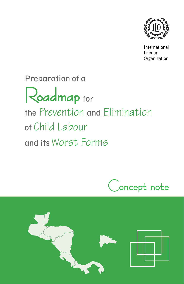

International Labour Organization

# Preparation of a Roadmap for the Prevention and Elimination of Child Labour and its Worst Forms



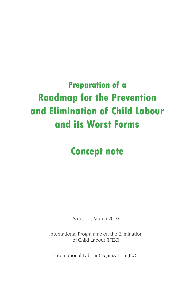## **Preparation of a Roadmap for the Prevention and Elimination of Child Labour and its Worst Forms**

## **Concept note**

San Jose, March 2010

International Programme on the Elimination of Child Labour (IPEC)

International Labour Organization (ILO)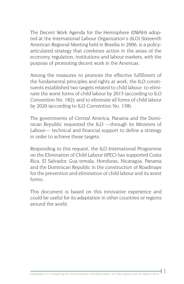The Decent Work Agenda for the Hemisphere (DWAH) adopted at the International Labour Organization's (ILO) Sixteenth American Regional Meeting held in Brasilia in 2006, is a policyarticulated strategy that combines action in the areas of the economy, regulation, institutions and labour markets, with the purpose of promoting decent work in the Americas.

Among the measures to promote the effective fulfillment of the fundamental principles and rights at work, the ILO constituents established two targets related to child labour: to eliminate the worst forms of child labour by 2015 (according to ILO Convention No. 182); and to eliminate all forms of child labour by 2020 (according to ILO Convention No. 138).

The governments of Central America, Panama and the Dominican Republic requested the ILO —through its Ministers of Labour— technical and financial support to define a strategy in order to achieve these targets.

Responding to this request, the ILO International Programme on the Elimination of Child Labour (IPEC) has supported Costa Rica, El Salvador, Gua temala, Honduras, Nicaragua, Panama and the Dominican Republic in the construction of Roadmaps for the prevention and elimination of child labour and its worst forms.

This document is based on this innovative experience and could be useful for its adaptation in other countries or regions around the world.

**1**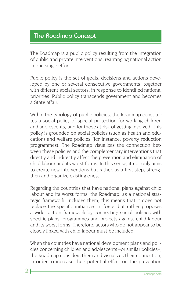#### The Roadmap Concept

The Roadmap is a public policy resulting from the integration of public and private interventions, rearranging national action in one single effort.

Public policy is the set of goals, decisions and actions developed by one or several consecutive governments, together with different social sectors, in response to identified national priorities. Public policy transcends government and becomes a State affair.

Within the typology of public policies, the Roadmap constitutes a social policy of special protection for working children and adolescents, and for those at risk of getting involved. This policy is grounded on social policies (such as health and education) and welfare policies (for instance, poverty reduction programmes). The Roadmap visualizes the connection between these policies and the complementary interventions that directly and indirectly affect the prevention and elimination of child labour and its worst forms. In this sense, it not only aims to create new interventions but rather, as a first step, strengthen and organize existing ones.

Regarding the countries that have national plans against child labour and its worst forms, the Roadmap, as a national strategic framework, includes them; this means that it does not replace the specific initiatives in force, but rather proposes a wider action framework by connecting social policies with specific plans, programmes and projects against child labour and its worst forms. Therefore, actors who do not appear to be closely linked with child labour must be included.

When the countries have national development plans and policies concerning children and adolescents –or similar policies–, the Roadmap considers them and visualizes their connection, in order to increase their potential effect on the prevention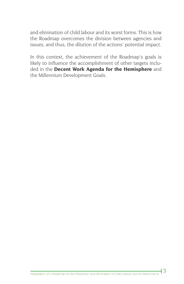and elimination of child labour and its worst forms. This is how the Roadmap overcomes the division between agencies and issues, and thus, the dilution of the actions' potential impact.

In this context, the achievement of the Roadmap's goals is likely to influence the accomplishment of other targets included in the **Decent Work Agenda for the Hemisphere** and the Millennium Development Goals.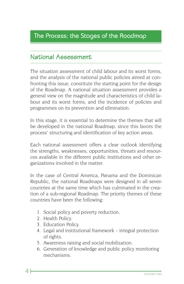#### The Process: the Stages of the Roadmap

#### National Assessment

The situation assessment of child labour and its worst forms, and the analysis of the national public policies aimed at confronting this issue, constitute the starting point for the design of the Roadmap. A national situation assessment provides a general view on the magnitude and characteristics of child labour and its worst forms, and the incidence of policies and programmes on its prevention and elimination.

In this stage, it is essential to determine the themes that will be developed in the national Roadmap, since this favors the process' structuring and identification of key action areas.

Each national assessment offers a clear outlook identifying the strengths, weaknesses, opportunities, threats and resources available in the different public institutions and other organizations involved in the matter.

In the case of Central America, Panama and the Dominican Republic, the national Roadmaps were designed in all seven countries at the same time which has culminated in the creation of a sub-regional Roadmap. The priority themes of these countries have been the following:

- 1. Social policy and poverty reduction.
- 2. Health Policy.

**4**

- 3. Education Policy.
- 4. Legal and institutional framework integral protection of rights.
- 5. Awareness raising and social mobilization.
- 6. Generation of knowledge and public policy monitoring mechanisms.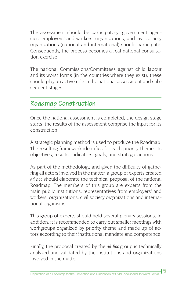The assessment should be participatory: government agencies, employers' and workers' organizations, and civil society organizations (national and international) should participate. Consequently, the process becomes a real national consultation exercise.

The national Commissions/Committees against child labour and its worst forms (in the countries where they exist), these should play an active role in the national assessment and subsequent stages.

### Roadmap Construction

Once the national assessment is completed, the design stage starts: the results of the assessment comprise the input for its construction.

A strategic planning method is used to produce the Roadmap. The resulting framework identifies for each priority theme, its objectives, results, indicators, goals, and strategic actions.

As part of the methodology, and given the difficulty of gathering all actors involved in the matter, a group of experts created *ad hoc* should elaborate the technical proposal of the national Roadmap. The members of this group are experts from the main public institutions, representatives from employers' and workers' organizations, civil society organizations and international organisms.

This group of experts should hold several plenary sessions. In addition, it is recommended to carry out smaller meetings with workgroups organized by priority theme and made up of actors according to their institutional mandate and competence.

Finally, the proposal created by the *ad hoc* group is technically analyzed and validated by the institutions and organizations involved in the matter.

**5**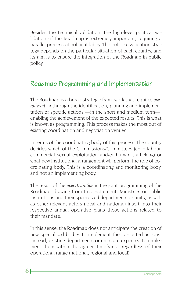Besides the technical validation, the high-level political validation of the Roadmap is extremely important, requiring a parallel process of political lobby. The political validation strategy depends on the particular situation of each country, and its aim is to ensure the integration of the Roadmap in public policy.

#### Roadmap Programming and Implementation

The Roadmap is a broad strategic framework that requires *operativization* through the identification, planning and implementation of specific actions —in the short and medium term—, enabling the achievement of the expected results. This is what is known as programming. This process makes the most out of existing coordination and negotiation venues.

In terms of the coordinating body of this process, the country decides which of the Commissions/Committees (child labour, commercial sexual exploitation and/or human trafficking) or what new institutional arrangement will perform the role of coordinating body. This is a coordinating and monitoring body, and not an implementing body.

The result of the *operativization* is the joint programming of the Roadmap; drawing from this instrument, Ministries or public institutions and their specialized departments or units, as well as other relevant actors (local and national) insert into their respective annual operative plans those actions related to their mandate.

In this sense, the Roadmap does not anticipate the creation of new specialized bodies to implement the concerted actions. Instead, existing departments or units are expected to implement them within the agreed timeframe, regardless of their operational range (national, regional and local).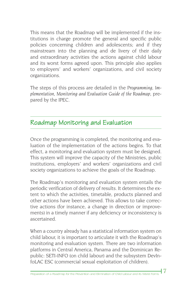This means that the Roadmap will be implemented if the institutions in charge promote the general and specific public policies concerning children and adolescents; and if they mainstream into the planning and de livery of their daily and extraordinary activities the actions against child labour and its worst forms agreed upon. This principle also applies to employers' and workers' organizations, and civil society organizations.

The steps of this process are detailed in the *Programming, Implementation, Monitoring and Evaluation Guide of the Roadmap*, prepared by the IPEC.

### Roadmap Monitoring and Evaluation

Once the programming is completed, the monitoring and evaluation of the implementation of the actions begins. To that effect, a monitoring and evaluation system must be designed. This system will improve the capacity of the Ministries, public institutions, employers' and workers' organizations and civil society organizations to achieve the goals of the Roadmap.

The Roadmap's monitoring and evaluation system entails the periodic verification of delivery of results. It determines the extent to which the activities, timetable, products planned and other actions have been achieved. This allows to take corrective actions (for instance, a change in direction or improvements) in a timely manner if any deficiency or inconsistency is ascertained.

When a country already has a statistical information system on child labour, it is important to articulate it with the Roadmap's monitoring and evaluation system. There are two information platforms in Central America, Panama and the Dominican Republic: SETI-INFO (on child labour) and the subsystem DevInfoLAC ESC (commercial sexual exploitation of children).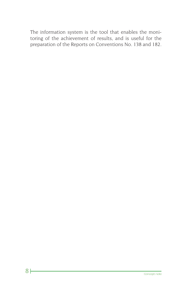The information system is the tool that enables the monitoring of the achievement of results, and is useful for the preparation of the Reports on Conventions No. 138 and 182.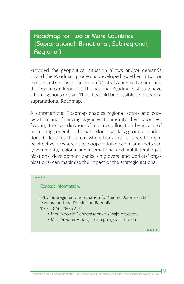#### Roadmap for Two or More Countries (Supranational: Bi-national, Sub-regional, Regional)

Provided the geopolitical situation allows and/or demands it, and the Roadmap process is developed together in two or more countries (as in the case of Central America, Panama and the Dominican Republic), the national Roadmaps should have a homogenous design. Thus, it would be possible to prepare a supranational Roadmap.

A supranational Roadmap enables regional actors and cooperation and financing agencies to identify their priorities, favoring the coordination of resource allocation by means of promoting general or thematic donor working groups. In addition, it identifies the areas where horizontal cooperation can be effective, or where other cooperation mechanisms (between governments, regional and international and multilateral organizations, development banks, employers' and workers' organizations) can maximize the impact of the strategic actions.

#### . . . .

#### **Contact information:**

IPEC Subregional Coordination for Central America, Haiti, Panama and the Dominican Republic. Tel.: (506) 2280-7223.

- Mrs. Noortje Denkers (denkers@sjo.oit.or.cr).
- Mrs. Adriana Hidalgo (hidalgoa@sjo.oit.or.cr).

**9**

 $\bullet\bullet\bullet\bullet$